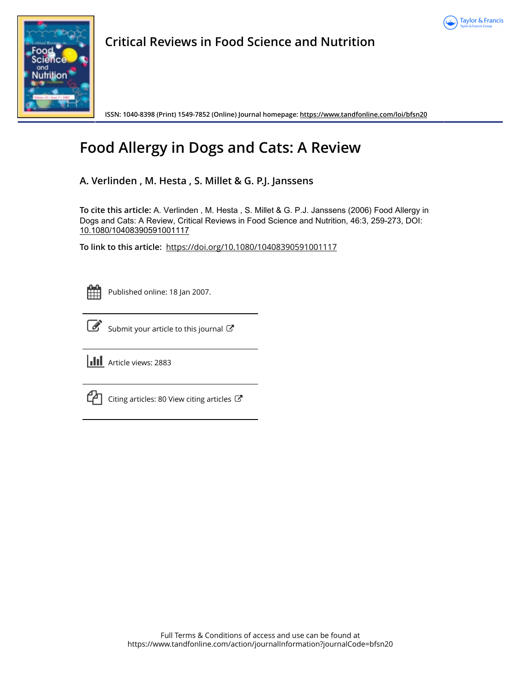



**Critical Reviews in Food Science and Nutrition**

**ISSN: 1040-8398 (Print) 1549-7852 (Online) Journal homepage:<https://www.tandfonline.com/loi/bfsn20>**

# **Food Allergy in Dogs and Cats: A Review**

**A. Verlinden , M. Hesta , S. Millet & G. P.J. Janssens**

**To cite this article:** A. Verlinden , M. Hesta , S. Millet & G. P.J. Janssens (2006) Food Allergy in Dogs and Cats: A Review, Critical Reviews in Food Science and Nutrition, 46:3, 259-273, DOI: [10.1080/10408390591001117](https://www.tandfonline.com/action/showCitFormats?doi=10.1080/10408390591001117)

**To link to this article:** <https://doi.org/10.1080/10408390591001117>



Published online: 18 Jan 2007.



 $\overrightarrow{S}$  [Submit your article to this journal](https://www.tandfonline.com/action/authorSubmission?journalCode=bfsn20&show=instructions)  $\overrightarrow{S}$ 

**Article views: 2883** 



 $\mathbb{C}$  [Citing articles: 80 View citing articles](https://www.tandfonline.com/doi/citedby/10.1080/10408390591001117#tabModule)  $\mathbb{C}$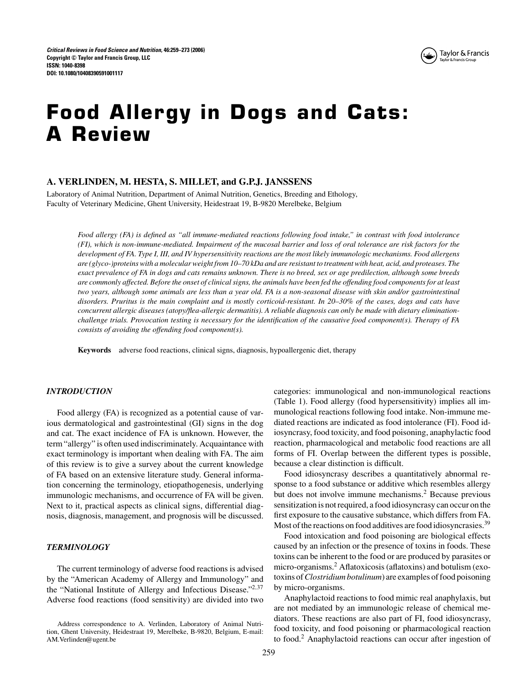

# **Food Allergy in Dogs and Cats: A Review**

# **A. VERLINDEN, M. HESTA, S. MILLET, and G.P.J. JANSSENS**

Laboratory of Animal Nutrition, Department of Animal Nutrition, Genetics, Breeding and Ethology, Faculty of Veterinary Medicine, Ghent University, Heidestraat 19, B-9820 Merelbeke, Belgium

> *Food allergy (FA) is defined as "all immune-mediated reactions following food intake," in contrast with food intolerance (FI), which is non-immune-mediated. Impairment of the mucosal barrier and loss of oral tolerance are risk factors for the development of FA. Type I, III, and IV hypersensitivity reactions are the most likely immunologic mechanisms. Food allergens are (glyco-)proteins with a molecular weight from 10–70 kDa and are resistant to treatment with heat, acid, and proteases. The exact prevalence of FA in dogs and cats remains unknown. There is no breed, sex or age predilection, although some breeds are commonly affected. Before the onset of clinical signs, the animals have been fed the offending food components for at least two years, although some animals are less than a year old. FA is a non-seasonal disease with skin and/or gastrointestinal disorders. Pruritus is the main complaint and is mostly corticoid-resistant. In 20–30% of the cases, dogs and cats have concurrent allergic diseases (atopy/flea-allergic dermatitis). A reliable diagnosis can only be made with dietary eliminationchallenge trials. Provocation testing is necessary for the identification of the causative food component(s). Therapy of FA consists of avoiding the offending food component(s).*

**Keywords** adverse food reactions, clinical signs, diagnosis, hypoallergenic diet, therapy

# *INTRODUCTION*

Food allergy (FA) is recognized as a potential cause of various dermatological and gastrointestinal (GI) signs in the dog and cat. The exact incidence of FA is unknown. However, the term "allergy" is often used indiscriminately. Acquaintance with exact terminology is important when dealing with FA. The aim of this review is to give a survey about the current knowledge of FA based on an extensive literature study. General information concerning the terminology, etiopathogenesis, underlying immunologic mechanisms, and occurrence of FA will be given. Next to it, practical aspects as clinical signs, differential diagnosis, diagnosis, management, and prognosis will be discussed.

# *TERMINOLOGY*

The current terminology of adverse food reactions is advised by the "American Academy of Allergy and Immunology" and the "National Institute of Allergy and Infectious Disease."2,37 Adverse food reactions (food sensitivity) are divided into two categories: immunological and non-immunological reactions (Table 1). Food allergy (food hypersensitivity) implies all immunological reactions following food intake. Non-immune mediated reactions are indicated as food intolerance (FI). Food idiosyncrasy, food toxicity, and food poisoning, anaphylactic food reaction, pharmacological and metabolic food reactions are all forms of FI. Overlap between the different types is possible, because a clear distinction is difficult.

Food idiosyncrasy describes a quantitatively abnormal response to a food substance or additive which resembles allergy but does not involve immune mechanisms.<sup>2</sup> Because previous sensitization is not required, a food idiosyncrasy can occur on the first exposure to the causative substance, which differs from FA. Most of the reactions on food additives are food idiosyncrasies.<sup>39</sup>

Food intoxication and food poisoning are biological effects caused by an infection or the presence of toxins in foods. These toxins can be inherent to the food or are produced by parasites or micro-organisms.2 Aflatoxicosis (aflatoxins) and botulism (exotoxins of*Clostridium botulinum*) are examples of food poisoning by micro-organisms.

Anaphylactoid reactions to food mimic real anaphylaxis, but are not mediated by an immunologic release of chemical mediators. These reactions are also part of FI, food idiosyncrasy, food toxicity, and food poisoning or pharmacological reaction to food.2 Anaphylactoid reactions can occur after ingestion of

Address correspondence to A. Verlinden, Laboratory of Animal Nutrition, Ghent University, Heidestraat 19, Merelbeke, B-9820, Belgium, E-mail: AM.Verlinden@ugent.be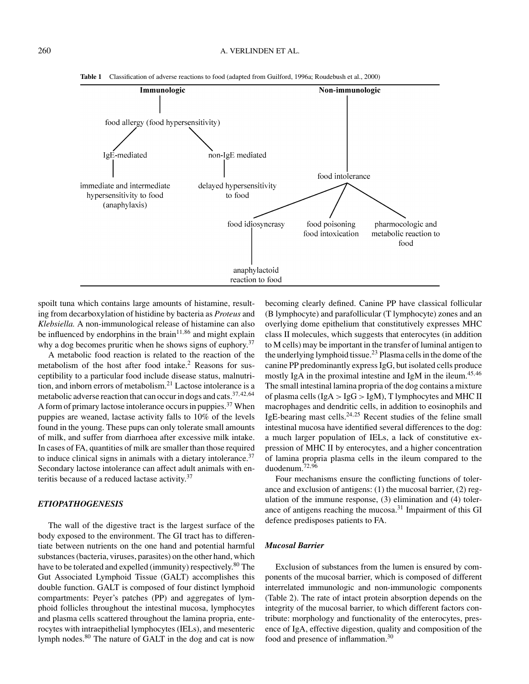

**Table 1** Classification of adverse reactions to food (adapted from Guilford, 1996a; Roudebush et al., 2000)

spoilt tuna which contains large amounts of histamine, resulting from decarboxylation of histidine by bacteria as *Proteus* and *Klebsiella.* A non-immunological release of histamine can also be influenced by endorphins in the brain<sup>11,86</sup> and might explain why a dog becomes pruritic when he shows signs of euphory.<sup>37</sup>

A metabolic food reaction is related to the reaction of the metabolism of the host after food intake.<sup>2</sup> Reasons for susceptibility to a particular food include disease status, malnutrition, and inborn errors of metabolism.21 Lactose intolerance is a metabolic adverse reaction that can occur in dogs and cats.<sup>37</sup>,42,<sup>64</sup> A form of primary lactose intolerance occurs in puppies.<sup>37</sup> When puppies are weaned, lactase activity falls to 10% of the levels found in the young. These pups can only tolerate small amounts of milk, and suffer from diarrhoea after excessive milk intake. In cases of FA, quantities of milk are smaller than those required to induce clinical signs in animals with a dietary intolerance.<sup>37</sup> Secondary lactose intolerance can affect adult animals with enteritis because of a reduced lactase activity.<sup>37</sup>

# *ETIOPATHOGENESIS*

The wall of the digestive tract is the largest surface of the body exposed to the environment. The GI tract has to differentiate between nutrients on the one hand and potential harmful substances (bacteria, viruses, parasites) on the other hand, which have to be tolerated and expelled (immunity) respectively.<sup>80</sup> The Gut Associated Lymphoid Tissue (GALT) accomplishes this double function. GALT is composed of four distinct lymphoid compartments: Peyer's patches (PP) and aggregates of lymphoid follicles throughout the intestinal mucosa, lymphocytes and plasma cells scattered throughout the lamina propria, enterocytes with intraepithelial lymphocytes (IELs), and mesenteric lymph nodes.<sup>80</sup> The nature of GALT in the dog and cat is now

becoming clearly defined. Canine PP have classical follicular (B lymphocyte) and parafollicular (T lymphocyte) zones and an overlying dome epithelium that constitutively expresses MHC class II molecules, which suggests that enterocytes (in addition to M cells) may be important in the transfer of luminal antigen to the underlying lymphoid tissue.<sup>23</sup> Plasma cells in the dome of the canine PP predominantly express IgG, but isolated cells produce mostly IgA in the proximal intestine and IgM in the ileum.<sup>45,46</sup> The small intestinal lamina propria of the dog contains a mixture of plasma cells ( $IgA > IgG > IgM$ ), T lymphocytes and MHC II macrophages and dendritic cells, in addition to eosinophils and IgE-bearing mast cells.<sup>24</sup>,<sup>25</sup> Recent studies of the feline small intestinal mucosa have identified several differences to the dog: a much larger population of IELs, a lack of constitutive expression of MHC II by enterocytes, and a higher concentration of lamina propria plasma cells in the ileum compared to the duodenum.72,<sup>96</sup>

Four mechanisms ensure the conflicting functions of tolerance and exclusion of antigens: (1) the mucosal barrier, (2) regulation of the immune response, (3) elimination and (4) tolerance of antigens reaching the mucosa.<sup>31</sup> Impairment of this GI defence predisposes patients to FA.

# *Mucosal Barrier*

Exclusion of substances from the lumen is ensured by components of the mucosal barrier, which is composed of different interrelated immunologic and non-immunologic components (Table 2). The rate of intact protein absorption depends on the integrity of the mucosal barrier, to which different factors contribute: morphology and functionality of the enterocytes, presence of IgA, effective digestion, quality and composition of the food and presence of inflammation.30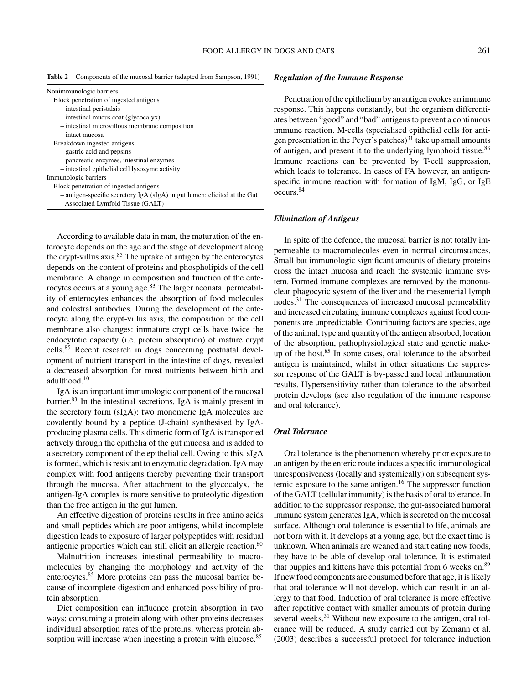|  | <b>Table 2</b> Components of the mucosal barrier (adapted from Sampson, 1991) |  |  |  |  |  |
|--|-------------------------------------------------------------------------------|--|--|--|--|--|
|--|-------------------------------------------------------------------------------|--|--|--|--|--|

| Nonimmunologic barriers                                                     |
|-----------------------------------------------------------------------------|
| Block penetration of ingested antigens                                      |
| $-$ intestinal peristals is                                                 |
| $-$ intestinal mucus coat (glycocalyx)                                      |
| - intestinal microvillous membrane composition                              |
| – intact mucosa                                                             |
| Breakdown ingested antigens                                                 |
| - gastric acid and pepsins                                                  |
| - pancreatic enzymes, intestinal enzymes                                    |
| - intestinal epithelial cell lysozyme activity                              |
| Immunologic barriers                                                        |
| Block penetration of ingested antigens                                      |
| $-$ antigen-specific secretory IgA (sIgA) in gut lumen: elicited at the Gut |
| Associated Lymfoid Tissue (GALT)                                            |
|                                                                             |

According to available data in man, the maturation of the enterocyte depends on the age and the stage of development along the crypt-villus axis.<sup>85</sup> The uptake of antigen by the enterocytes depends on the content of proteins and phospholipids of the cell membrane. A change in composition and function of the enterocytes occurs at a young age.<sup>83</sup> The larger neonatal permeability of enterocytes enhances the absorption of food molecules and colostral antibodies. During the development of the enterocyte along the crypt-villus axis, the composition of the cell membrane also changes: immature crypt cells have twice the endocytotic capacity (i.e. protein absorption) of mature crypt cells.85 Recent research in dogs concerning postnatal development of nutrient transport in the intestine of dogs, revealed a decreased absorption for most nutrients between birth and adulthood.<sup>10</sup>

IgA is an important immunologic component of the mucosal barrier.<sup>83</sup> In the intestinal secretions, IgA is mainly present in the secretory form (sIgA): two monomeric IgA molecules are covalently bound by a peptide (J-chain) synthesised by IgAproducing plasma cells. This dimeric form of IgA is transported actively through the epithelia of the gut mucosa and is added to a secretory component of the epithelial cell. Owing to this, sIgA is formed, which is resistant to enzymatic degradation. IgA may complex with food antigens thereby preventing their transport through the mucosa. After attachment to the glycocalyx, the antigen-IgA complex is more sensitive to proteolytic digestion than the free antigen in the gut lumen.

An effective digestion of proteins results in free amino acids and small peptides which are poor antigens, whilst incomplete digestion leads to exposure of larger polypeptides with residual antigenic properties which can still elicit an allergic reaction.<sup>80</sup>

Malnutrition increases intestinal permeability to macromolecules by changing the morphology and activity of the enterocytes.<sup>85</sup> More proteins can pass the mucosal barrier because of incomplete digestion and enhanced possibility of protein absorption.

Diet composition can influence protein absorption in two ways: consuming a protein along with other proteins decreases individual absorption rates of the proteins, whereas protein absorption will increase when ingesting a protein with glucose.<sup>85</sup>

# *Regulation of the Immune Response*

Penetration of the epithelium by an antigen evokes an immune response. This happens constantly, but the organism differentiates between "good" and "bad" antigens to prevent a continuous immune reaction. M-cells (specialised epithelial cells for antigen presentation in the Peyer's patches) $31$  take up small amounts of antigen, and present it to the underlying lymphoid tissue.<sup>83</sup> Immune reactions can be prevented by T-cell suppression, which leads to tolerance. In cases of FA however, an antigenspecific immune reaction with formation of IgM, IgG, or IgE occurs.<sup>84</sup>

# *Elimination of Antigens*

In spite of the defence, the mucosal barrier is not totally impermeable to macromolecules even in normal circumstances. Small but immunologic significant amounts of dietary proteins cross the intact mucosa and reach the systemic immune system. Formed immune complexes are removed by the mononuclear phagocytic system of the liver and the mesenterial lymph nodes.<sup>31</sup> The consequences of increased mucosal permeability and increased circulating immune complexes against food components are unpredictable. Contributing factors are species, age of the animal, type and quantity of the antigen absorbed, location of the absorption, pathophysiological state and genetic makeup of the host.<sup>85</sup> In some cases, oral tolerance to the absorbed antigen is maintained, whilst in other situations the suppressor response of the GALT is by-passed and local inflammation results. Hypersensitivity rather than tolerance to the absorbed protein develops (see also regulation of the immune response and oral tolerance).

### *Oral Tolerance*

Oral tolerance is the phenomenon whereby prior exposure to an antigen by the enteric route induces a specific immunological unresponsiveness (locally and systemically) on subsequent systemic exposure to the same antigen.<sup>16</sup> The suppressor function of the GALT (cellular immunity) is the basis of oral tolerance. In addition to the suppressor response, the gut-associated humoral immune system generates IgA, which is secreted on the mucosal surface. Although oral tolerance is essential to life, animals are not born with it. It develops at a young age, but the exact time is unknown. When animals are weaned and start eating new foods, they have to be able of develop oral tolerance. It is estimated that puppies and kittens have this potential from 6 weeks on.<sup>89</sup> If new food components are consumed before that age, it is likely that oral tolerance will not develop, which can result in an allergy to that food. Induction of oral tolerance is more effective after repetitive contact with smaller amounts of protein during several weeks.<sup>31</sup> Without new exposure to the antigen, oral tolerance will be reduced. A study carried out by Zemann et al. (2003) describes a successful protocol for tolerance induction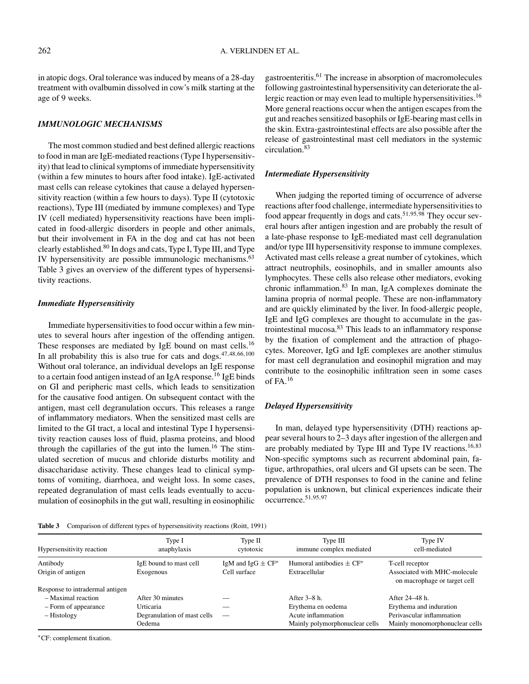in atopic dogs. Oral tolerance was induced by means of a 28-day treatment with ovalbumin dissolved in cow's milk starting at the age of 9 weeks.

# *IMMUNOLOGIC MECHANISMS*

The most common studied and best defined allergic reactions to food in man are IgE-mediated reactions (Type I hypersensitivity) that lead to clinical symptoms of immediate hypersensitivity (within a few minutes to hours after food intake). IgE-activated mast cells can release cytokines that cause a delayed hypersensitivity reaction (within a few hours to days). Type II (cytotoxic reactions), Type III (mediated by immune complexes) and Type IV (cell mediated) hypersensitivity reactions have been implicated in food-allergic disorders in people and other animals, but their involvement in FA in the dog and cat has not been clearly established.<sup>80</sup> In dogs and cats, Type I, Type III, and Type IV hypersensitivity are possible immunologic mechanisms.<sup>63</sup> Table 3 gives an overview of the different types of hypersensitivity reactions.

# *Immediate Hypersensitivity*

Immediate hypersensitivities to food occur within a few minutes to several hours after ingestion of the offending antigen. These responses are mediated by IgE bound on mast cells.<sup>16</sup> In all probability this is also true for cats and  $\text{dogs.}^{47,48,66,100}$ Without oral tolerance, an individual develops an IgE response to a certain food antigen instead of an IgA response.<sup>16</sup> IgE binds on GI and peripheric mast cells, which leads to sensitization for the causative food antigen. On subsequent contact with the antigen, mast cell degranulation occurs. This releases a range of inflammatory mediators. When the sensitized mast cells are limited to the GI tract, a local and intestinal Type I hypersensitivity reaction causes loss of fluid, plasma proteins, and blood through the capillaries of the gut into the lumen.<sup>16</sup> The stimulated secretion of mucus and chloride disturbs motility and disaccharidase activity. These changes lead to clinical symptoms of vomiting, diarrhoea, and weight loss. In some cases, repeated degranulation of mast cells leads eventually to accumulation of eosinophils in the gut wall, resulting in eosinophilic gastroenteritis.<sup>61</sup> The increase in absorption of macromolecules following gastrointestinal hypersensitivity can deteriorate the allergic reaction or may even lead to multiple hypersensitivities.<sup>16</sup> More general reactions occur when the antigen escapes from the gut and reaches sensitized basophils or IgE-bearing mast cells in the skin. Extra-gastrointestinal effects are also possible after the release of gastrointestinal mast cell mediators in the systemic circulation.<sup>83</sup>

# *Intermediate Hypersensitivity*

When judging the reported timing of occurrence of adverse reactions after food challenge, intermediate hypersensitivities to food appear frequently in dogs and cats.<sup>51,95,98</sup> They occur several hours after antigen ingestion and are probably the result of a late-phase response to IgE-mediated mast cell degranulation and/or type III hypersensitivity response to immune complexes. Activated mast cells release a great number of cytokines, which attract neutrophils, eosinophils, and in smaller amounts also lymphocytes. These cells also release other mediators, evoking chronic inflammation.83 In man, IgA complexes dominate the lamina propria of normal people. These are non-inflammatory and are quickly eliminated by the liver. In food-allergic people, IgE and IgG complexes are thought to accumulate in the gastrointestinal mucosa.<sup>83</sup> This leads to an inflammatory response by the fixation of complement and the attraction of phagocytes. Moreover, IgG and IgE complexes are another stimulus for mast cell degranulation and eosinophil migration and may contribute to the eosinophilic infiltration seen in some cases of FA $^{16}$ 

# *Delayed Hypersensitivity*

In man, delayed type hypersensitivity (DTH) reactions appear several hours to 2–3 days after ingestion of the allergen and are probably mediated by Type III and Type IV reactions.<sup>16,83</sup> Non-specific symptoms such as recurrent abdominal pain, fatigue, arthropathies, oral ulcers and GI upsets can be seen. The prevalence of DTH responses to food in the canine and feline population is unknown, but clinical experiences indicate their occurrence.<sup>51</sup>,95,<sup>97</sup>

**Table 3** Comparison of different types of hypersensitivity reactions (Roitt, 1991)

| Hypersensitivity reaction       | Type I<br>anaphylaxis       | Type II<br>cytotoxic              | Type III<br>immune complex mediated      | Type IV<br>cell-mediated                                     |
|---------------------------------|-----------------------------|-----------------------------------|------------------------------------------|--------------------------------------------------------------|
| Antibody                        | IgE bound to mast cell      | IgM and IgG $\pm$ CF <sup>*</sup> | Humoral antibodies $\pm$ CF <sup>*</sup> | T-cell receptor                                              |
| Origin of antigen               | Exogenous                   | Cell surface                      | Extracellular                            | Associated with MHC-molecule<br>on macrophage or target cell |
| Response to intradermal antigen |                             |                                   |                                          |                                                              |
| - Maximal reaction              | After 30 minutes            |                                   | After $3-8$ h.                           | After 24–48 h.                                               |
| - Form of appearance            | Urticaria                   |                                   | Erythema en oedema                       | Erythema and induration                                      |
| – Histology                     | Degranulation of mast cells |                                   | Acute inflammation                       | Perivascular inflammation                                    |
|                                 | Oedema                      |                                   | Mainly polymorphonuclear cells           | Mainly monomorphonuclear cells                               |

∗CF: complement fixation.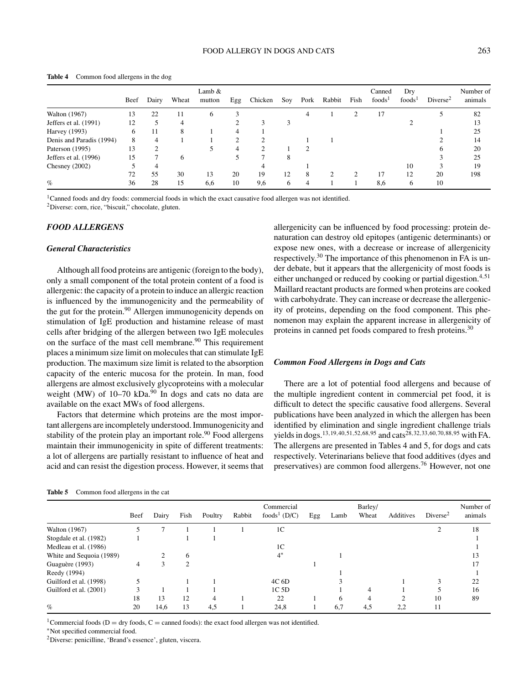|                          | Beef | Dairy | Wheat | Lamb & |     | Chicken | Soy | Pork | Rabbit | Fish | Canned<br>foods <sup>1</sup> | Dry<br>foods <sup>1</sup> | Diverse <sup>2</sup> | Number of<br>animals |
|--------------------------|------|-------|-------|--------|-----|---------|-----|------|--------|------|------------------------------|---------------------------|----------------------|----------------------|
|                          |      |       |       | mutton | Egg |         |     |      |        |      |                              |                           |                      |                      |
| Walton (1967)            | 13   | 22    | 11    | 6      |     |         |     |      |        | ∍    | 17                           |                           |                      | 82                   |
| Jeffers et al. (1991)    | 12   | 5     | 4     |        |     | 3       |     |      |        |      |                              |                           |                      | 13                   |
| Harvey (1993)            | 6    | 11    | 8     |        | 4   |         |     |      |        |      |                              |                           |                      | 25                   |
| Denis and Paradis (1994) | 8    | 4     |       |        |     |         |     |      |        |      |                              |                           |                      | 14                   |
| Paterson (1995)          | 13   |       |       |        | 4   |         |     |      |        |      |                              |                           | h                    | 20                   |
| Jeffers et al. (1996)    | 15   |       | 6     |        |     |         | 8   |      |        |      |                              |                           |                      | 25                   |
| Chesney $(2002)$         |      | 4     |       |        |     | 4       |     |      |        |      |                              | 10                        |                      | 19                   |
|                          | 72   | 55    | 30    | 13     | 20  | 19      | 12  | 8    | C      | ∍    | 17                           | 12                        | 20                   | 198                  |
| $\%$                     | 36   | 28    | 15    | 6,6    | 10  | 9.6     | 6   | 4    |        |      | 8,6                          | h                         | 10                   |                      |

**Table 4** Common food allergens in the dog

<sup>1</sup>Canned foods and dry foods: commercial foods in which the exact causative food allergen was not identified.

2Diverse: corn, rice, "biscuit," chocolate, gluten.

# *FOOD ALLERGENS*

## *General Characteristics*

Although all food proteins are antigenic (foreign to the body), only a small component of the total protein content of a food is allergenic: the capacity of a protein to induce an allergic reaction is influenced by the immunogenicity and the permeability of the gut for the protein.<sup>90</sup> Allergen immunogenicity depends on stimulation of IgE production and histamine release of mast cells after bridging of the allergen between two IgE molecules on the surface of the mast cell membrane.<sup>90</sup> This requirement places a minimum size limit on molecules that can stimulate IgE production. The maximum size limit is related to the absorption capacity of the enteric mucosa for the protein. In man, food allergens are almost exclusively glycoproteins with a molecular weight (MW) of  $10-70$  kDa.<sup>90</sup> In dogs and cats no data are available on the exact MWs of food allergens.

Factors that determine which proteins are the most important allergens are incompletely understood. Immunogenicity and stability of the protein play an important role.<sup>90</sup> Food allergens maintain their immunogenicity in spite of different treatments: a lot of allergens are partially resistant to influence of heat and acid and can resist the digestion process. However, it seems that

#### *Common Food Allergens in Dogs and Cats*

There are a lot of potential food allergens and because of the multiple ingredient content in commercial pet food, it is difficult to detect the specific causative food allergens. Several publications have been analyzed in which the allergen has been identified by elimination and single ingredient challenge trials yields in dogs.<sup>13,19,40,51,52,68,95</sup> and cats<sup>28,32,33,60,70,88,95</sup> with FA. The allergens are presented in Tables 4 and 5, for dogs and cats respectively. Veterinarians believe that food additives (dyes and preservatives) are common food allergens.76 However, not one

|                          |      |       |                |         |        | Commercial                   |     | Barley/      |       |                  | Number of            |         |
|--------------------------|------|-------|----------------|---------|--------|------------------------------|-----|--------------|-------|------------------|----------------------|---------|
|                          | Beef | Dairy | Fish           | Poultry | Rabbit | foods <sup>1</sup> ( $D/C$ ) | Egg | Lamb         | Wheat | <b>Additives</b> | Diverse <sup>2</sup> | animals |
| Walton (1967)            |      |       |                |         |        | 1 <sup>C</sup>               |     |              |       |                  |                      | 18      |
| Stogdale et al. (1982)   |      |       |                |         |        |                              |     |              |       |                  |                      |         |
| Medleau et al. (1986)    |      |       |                |         |        | 1C                           |     |              |       |                  |                      |         |
| White and Sequoia (1989) |      |       | 6              |         |        | 4*                           |     |              |       |                  |                      | 13      |
| Guaguère (1993)          | 4    |       | $\mathfrak{D}$ |         |        |                              |     |              |       |                  |                      | 17      |
| Reedy (1994)             |      |       |                |         |        |                              |     |              |       |                  |                      |         |
| Guilford et al. (1998)   |      |       |                |         |        | 4C <sub>6D</sub>             |     |              |       |                  |                      | 22      |
| Guilford et al. (2001)   |      |       |                |         |        | 1C <sub>5D</sub>             |     |              | 4     |                  |                      | 16      |
|                          | 18   | 13    | 12             | 4       |        | 22                           |     | <sub>(</sub> | 4     | ◠                | 10                   | 89      |
| $\%$                     | 20   | 14,6  | 13             | 4,5     |        | 24,8                         |     | 6,7          | 4,5   | 2,2              | 11                   |         |

**Table 5** Common food allergens in the cat

<sup>1</sup> Commercial foods ( $D = dry$  foods,  $C =$  canned foods): the exact food allergen was not identified.

∗Not specified commercial food.

2Diverse: penicilline, 'Brand's essence', gluten, viscera.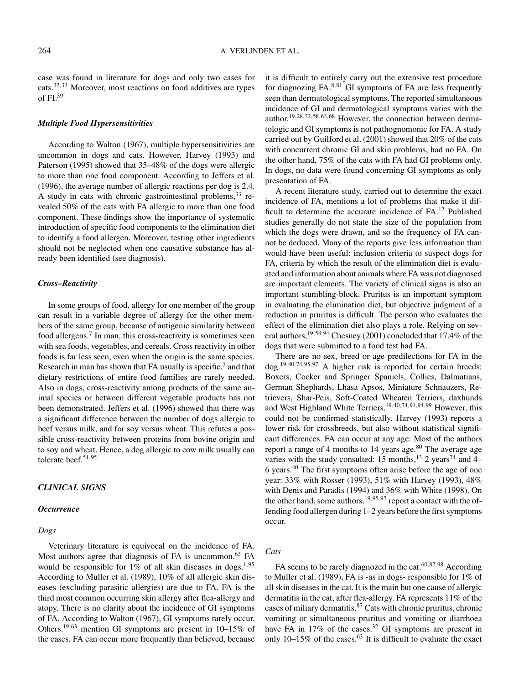case was found in literature for dogs and only two cases for cats.32,<sup>33</sup> Moreover, most reactions on food additives are types of  $FI^{39}$ 

## *Multiple Food Hypersensitivities*

According to Walton (1967), multiple hypersensitivities are uncommon in dogs and cats. However, Harvey (1993) and Paterson (1995) showed that 35–48% of the dogs were allergic to more than one food component. According to Jeffers et al. (1996), the average number of allergic reactions per dog is 2.4. A study in cats with chronic gastrointestinal problems,  $33$  revealed 50% of the cats with FA allergic to more than one food component. These findings show the importance of systematic introduction of specific food components to the elimination diet to identify a food allergen. Moreover, testing other ingredients should not be neglected when one causative substance has already been identified (see diagnosis).

# *Cross–Reactivity*

In some groups of food, allergy for one member of the group can result in a variable degree of allergy for the other members of the same group, because of antigenic similarity between food allergens.<sup>7</sup> In man, this cross-reactivity is sometimes seen with sea foods, vegetables, and cereals. Cross reactivity in other foods is far less seen, even when the origin is the same species. Research in man has shown that FA usually is specific.<sup>7</sup> and that dietary restrictions of entire food families are rarely needed. Also in dogs, cross-reactivity among products of the same animal species or between different vegetable products has not been demonstrated. Jeffers et al. (1996) showed that there was a significant difference between the number of dogs allergic to beef versus milk, and for soy versus wheat. This refutes a possible cross-reactivity between proteins from bovine origin and to soy and wheat. Hence, a dog allergic to cow milk usually can tolerate beef.<sup>51,95</sup>

#### *CLINICAL SIGNS*

#### *Occurrence*

# *Dogs*

Veterinary literature is equivocal on the incidence of FA. Most authors agree that diagnosis of FA is uncommon.<sup>63</sup> FA would be responsible for  $1\%$  of all skin diseases in dogs.<sup>1,95</sup> According to Muller et al. (1989), 10% of all allergic skin diseases (excluding parasitic allergies) are due to FA. FA is the third most common occurring skin allergy after flea-allergy and atopy. There is no clarity about the incidence of GI symptoms of FA. According to Walton (1967), GI symptoms rarely occur. Others.<sup>19</sup>,<sup>63</sup> mention GI symptoms are present in 10–15% of the cases. FA can occur more frequently than believed, because

it is difficult to entirely carry out the extensive test procedure for diagnozing  $FA$ <sup>8,81</sup> GI symptoms of  $FA$  are less frequently seen than dermatological symptoms. The reported simultaneous incidence of GI and dermatological symptoms varies with the author.19,28,32,58,63,<sup>68</sup> However, the connection between dermatologic and GI symptoms is not pathognomonic for FA. A study carried out by Guilford et al. (2001) showed that 20% of the cats with concurrent chronic GI and skin problems, had no FA. On the other hand, 75% of the cats with FA had GI problems only. In dogs, no data were found concerning GI symptoms as only presentation of FA.

A recent literature study, carried out to determine the exact incidence of FA, mentions a lot of problems that make it difficult to determine the accurate incidence of FA.<sup>12</sup> Published studies generally do not state the size of the population from which the dogs were drawn, and so the frequency of FA cannot be deduced. Many of the reports give less information than would have been useful: inclusion criteria to suspect dogs for FA, criteria by which the result of the elimination diet is evaluated and information about animals where FA was not diagnosed are important elements. The variety of clinical signs is also an important stumbling-block. Pruritus is an important symptom in evaluating the elimination diet, but objective judgment of a reduction in pruritus is difficult. The person who evaluates the effect of the elimination diet also plays a role. Relying on several authors,19,54,<sup>94</sup> Chesney (2001) concluded that 17.4% of the dogs that were submitted to a food test had FA.

There are no sex, breed or age predilections for FA in the dog.19,40,74,95,<sup>97</sup> A higher risk is reported for certain breeds: Boxers, Cocker and Springer Spaniels, Collies, Dalmatians, German Shephards, Lhasa Apsos, Miniature Schnauzers, Retrievers, Shar-Peis, Soft-Coated Wheaten Terriers, daxhunds and West Highland White Terriers.<sup>19</sup>,40,74,91,94,<sup>99</sup> However, this could not be confirmed statistically. Harvey (1993) reports a lower risk for crossbreeds, but also without statistical significant differences. FA can occur at any age: Most of the authors report a range of 4 months to 14 years age.<sup>80</sup> The average age varies with the study consulted: 15 months,  $^{13}$  2 years<sup>74</sup> and 4– 6 years.40 The first symptoms often arise before the age of one year: 33% with Rosser (1993), 51% with Harvey (1993), 48% with Denis and Paradis (1994) and 36% with White (1998). On the other hand, some authors.<sup>19,95,97</sup> report a contact with the offending food allergen during 1–2 years before the first symptoms occur.

# *Cats*

FA seems to be rarely diagnozed in the cat.  $60,87,98$  According to Muller et al. (1989), FA is -as in dogs- responsible for 1% of all skin diseases in the cat. It is the main but one cause of allergic dermatitis in the cat, after flea-allergy. FA represents 11% of the cases of miliary dermatitis.87 Cats with chronic pruritus, chronic vomiting or simultaneous pruritus and vomiting or diarrhoea have FA in  $17\%$  of the cases.<sup>32</sup> GI symptoms are present in only 10–15% of the cases.<sup>63</sup> It is difficult to evaluate the exact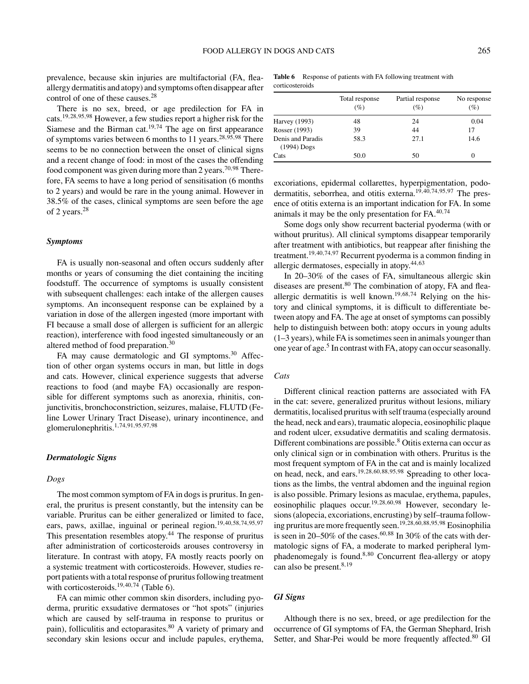prevalence, because skin injuries are multifactorial (FA, fleaallergy dermatitis and atopy) and symptoms often disappear after control of one of these causes.<sup>28</sup>

There is no sex, breed, or age predilection for FA in cats.19,28,95,<sup>98</sup> However, a few studies report a higher risk for the Siamese and the Birman cat.<sup>19,74</sup> The age on first appearance of symptoms varies between 6 months to 11 years. $28,95,98$  There seems to be no connection between the onset of clinical signs and a recent change of food: in most of the cases the offending food component was given during more than 2 years.<sup>70,98</sup> Therefore, FA seems to have a long period of sensitisation (6 months to 2 years) and would be rare in the young animal. However in 38.5% of the cases, clinical symptoms are seen before the age of 2 years.28

## *Symptoms*

FA is usually non-seasonal and often occurs suddenly after months or years of consuming the diet containing the inciting foodstuff. The occurrence of symptoms is usually consistent with subsequent challenges: each intake of the allergen causes symptoms. An inconsequent response can be explained by a variation in dose of the allergen ingested (more important with FI because a small dose of allergen is sufficient for an allergic reaction), interference with food ingested simultaneously or an altered method of food preparation.<sup>30</sup>

FA may cause dermatologic and GI symptoms.<sup>30</sup> Affection of other organ systems occurs in man, but little in dogs and cats. However, clinical experience suggests that adverse reactions to food (and maybe FA) occasionally are responsible for different symptoms such as anorexia, rhinitis, conjunctivitis, bronchoconstriction, seizures, malaise, FLUTD (Feline Lower Urinary Tract Disease), urinary incontinence, and glomerulonephritis.1,74,91,95,97,<sup>98</sup>

#### *Dermatologic Signs*

#### *Dogs*

The most common symptom of FA in dogs is pruritus. In general, the pruritus is present constantly, but the intensity can be variable. Pruritus can be either generalized or limited to face, ears, paws, axillae, inguinal or perineal region.<sup>19,40,58,74,95,97</sup> This presentation resembles atopy.<sup>44</sup> The response of pruritus after administration of corticosteroids arouses controversy in literature. In contrast with atopy, FA mostly reacts poorly on a systemic treatment with corticosteroids. However, studies report patients with a total response of pruritus following treatment with corticosteroids.<sup>19,40,74</sup> (Table 6).

FA can mimic other common skin disorders, including pyoderma, pruritic exsudative dermatoses or "hot spots" (injuries which are caused by self-trauma in response to pruritus or pain), folliculitis and ectoparasites.<sup>80</sup> A variety of primary and secondary skin lesions occur and include papules, erythema, Table 6 Response of patients with FA following treatment with corticosteroids

|                                    | Total response<br>(%) | Partial response<br>(%) | No response<br>$(\%)$ |
|------------------------------------|-----------------------|-------------------------|-----------------------|
| Harvey (1993)                      | 48                    | 24                      | 0.04                  |
| Rosser (1993)                      | 39                    | 44                      | 17                    |
| Denis and Paradis<br>$(1994)$ Dogs | 58.3                  | 27.1                    | 14.6                  |
| Cats                               | 50.0                  | 50                      | $_{0}$                |

excoriations, epidermal collarettes, hyperpigmentation, pododermatitis, seborrhea, and otitis externa.<sup>19,40,74,95,97</sup> The presence of otitis externa is an important indication for FA. In some animals it may be the only presentation for FA.40,<sup>74</sup>

Some dogs only show recurrent bacterial pyoderma (with or without pruritus). All clinical symptoms disappear temporarily after treatment with antibiotics, but reappear after finishing the treatment.<sup>19,40,74,97</sup> Recurrent pyoderma is a common finding in allergic dermatoses, especially in atopy.<sup>44</sup>,<sup>63</sup>

In 20–30% of the cases of FA, simultaneous allergic skin diseases are present. $80$  The combination of atopy, FA and fleaallergic dermatitis is well known.<sup>19,68,74</sup> Relying on the history and clinical symptoms, it is difficult to differentiate between atopy and FA. The age at onset of symptoms can possibly help to distinguish between both: atopy occurs in young adults (1–3 years), while FA is sometimes seen in animals younger than one year of age.<sup>5</sup> In contrast with FA, atopy can occur seasonally.

#### *Cats*

Different clinical reaction patterns are associated with FA in the cat: severe, generalized pruritus without lesions, miliary dermatitis, localised pruritus with self trauma (especially around the head, neck and ears), traumatic alopecia, eosinophilic plaque and rodent ulcer, exsudative dermatitis and scaling dermatosis. Different combinations are possible.<sup>8</sup> Otitis externa can occur as only clinical sign or in combination with others. Pruritus is the most frequent symptom of FA in the cat and is mainly localized on head, neck, and ears.19,28,60,88,95,<sup>98</sup> Spreading to other locations as the limbs, the ventral abdomen and the inguinal region is also possible. Primary lesions as maculae, erythema, papules, eosinophilic plaques occur.<sup>19,28,60,98</sup> However, secondary lesions (alopecia, excoriations, encrusting) by self–trauma following pruritus are more frequently seen.19,28,60,88,95,<sup>98</sup> Eosinophilia is seen in 20–50% of the cases.<sup>60,88</sup> In 30% of the cats with dermatologic signs of FA, a moderate to marked peripheral lymphadenomegaly is found. $8,80$  Concurrent flea-allergy or atopy can also be present. $8,19$ 

# *GI Signs*

Although there is no sex, breed, or age predilection for the occurrence of GI symptoms of FA, the German Shephard, Irish Setter, and Shar-Pei would be more frequently affected.<sup>80</sup> GI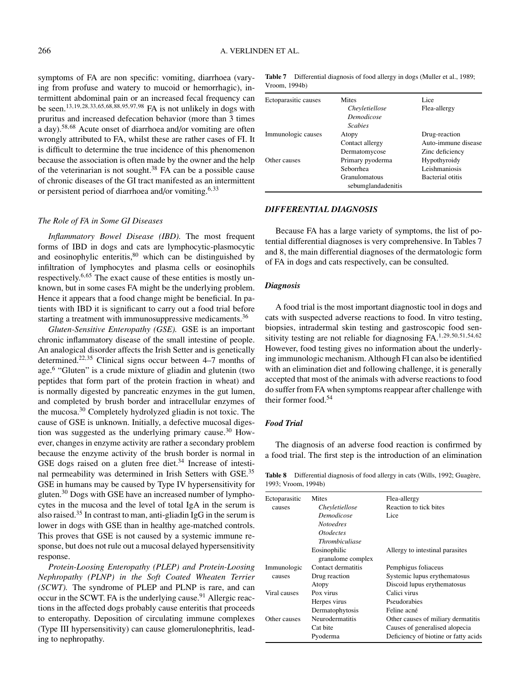symptoms of FA are non specific: vomiting, diarrhoea (varying from profuse and watery to mucoid or hemorrhagic), intermittent abdominal pain or an increased fecal frequency can be seen.13,19,28,33,65,68,88,95,97,<sup>98</sup> FA is not unlikely in dogs with pruritus and increased defecation behavior (more than 3 times a day).58,<sup>68</sup> Acute onset of diarrhoea and/or vomiting are often wrongly attributed to FA, whilst these are rather cases of FI. It is difficult to determine the true incidence of this phenomenon because the association is often made by the owner and the help of the veterinarian is not sought.<sup>38</sup> FA can be a possible cause of chronic diseases of the GI tract manifested as an intermittent or persistent period of diarrhoea and/or vomiting.<sup>6,33</sup>

#### *The Role of FA in Some GI Diseases*

*Inflammatory Bowel Disease (IBD).* The most frequent forms of IBD in dogs and cats are lymphocytic-plasmocytic and eosinophylic enteritis, $80$  which can be distinguished by infiltration of lymphocytes and plasma cells or eosinophils respectively.6,<sup>65</sup> The exact cause of these entities is mostly unknown, but in some cases FA might be the underlying problem. Hence it appears that a food change might be beneficial. In patients with IBD it is significant to carry out a food trial before starting a treatment with immunosuppressive medicaments.<sup>36</sup>

*Gluten-Sensitive Enteropathy (GSE).* GSE is an important chronic inflammatory disease of the small intestine of people. An analogical disorder affects the Irish Setter and is genetically determined.<sup>22</sup>,<sup>35</sup> Clinical signs occur between 4–7 months of age.6 "Gluten" is a crude mixture of gliadin and glutenin (two peptides that form part of the protein fraction in wheat) and is normally digested by pancreatic enzymes in the gut lumen, and completed by brush border and intracellular enzymes of the mucosa.<sup>30</sup> Completely hydrolyzed gliadin is not toxic. The cause of GSE is unknown. Initially, a defective mucosal digestion was suggested as the underlying primary cause.<sup>30</sup> However, changes in enzyme activity are rather a secondary problem because the enzyme activity of the brush border is normal in GSE dogs raised on a gluten free diet. $34$  Increase of intestinal permeability was determined in Irish Setters with GSE.<sup>35</sup> GSE in humans may be caused by Type IV hypersensitivity for gluten.<sup>30</sup> Dogs with GSE have an increased number of lymphocytes in the mucosa and the level of total IgA in the serum is also raised.35 In contrast to man, anti-gliadin IgG in the serum is lower in dogs with GSE than in healthy age-matched controls. This proves that GSE is not caused by a systemic immune response, but does not rule out a mucosal delayed hypersensitivity response.

*Protein-Loosing Enteropathy (PLEP) and Protein-Loosing Nephropathy (PLNP) in the Soft Coated Wheaten Terrier (SCWT).* The syndrome of PLEP and PLNP is rare, and can occur in the SCWT. FA is the underlying cause.<sup>91</sup> Allergic reactions in the affected dogs probably cause enteritis that proceeds to enteropathy. Deposition of circulating immune complexes (Type III hypersensitivity) can cause glomerulonephritis, leading to nephropathy.

Table 7 Differential diagnosis of food allergy in dogs (Muller et al., 1989; Vroom, 1994b)

| Ectoparasitic causes | Mites              | Lice                |
|----------------------|--------------------|---------------------|
|                      | Chevletiellose     | Flea-allergy        |
|                      | <b>Demodicose</b>  |                     |
|                      | <b>Scabies</b>     |                     |
| Immunologic causes   | Atopy              | Drug-reaction       |
|                      | Contact allergy    | Auto-immune disease |
|                      | Dermatomycose      | Zinc deficiency     |
| Other causes         | Primary pyoderma   | Hypothyroidy        |
|                      | Seborrhea          | Leishmaniosis       |
|                      | Granulomatous      | Bacterial otitis    |
|                      | sebumglandadenitis |                     |

# *DIFFERENTIAL DIAGNOSIS*

Because FA has a large variety of symptoms, the list of potential differential diagnoses is very comprehensive. In Tables 7 and 8, the main differential diagnoses of the dermatologic form of FA in dogs and cats respectively, can be consulted.

# *Diagnosis*

A food trial is the most important diagnostic tool in dogs and cats with suspected adverse reactions to food. In vitro testing, biopsies, intradermal skin testing and gastroscopic food sensitivity testing are not reliable for diagnosing FA.<sup>1</sup>,29,50,51,54,<sup>62</sup> However, food testing gives no information about the underlying immunologic mechanism. Although FI can also be identified with an elimination diet and following challenge, it is generally accepted that most of the animals with adverse reactions to food do suffer from FA when symptoms reappear after challenge with their former food.<sup>54</sup>

# *Food Trial*

The diagnosis of an adverse food reaction is confirmed by a food trial. The first step is the introduction of an elimination

Table 8 Differential diagnosis of food allergy in cats (Wills, 1992; Guagère, 1993; Vroom, 1994b)

| Ectoparasitic | Mites                             | Flea-allergy                         |  |  |
|---------------|-----------------------------------|--------------------------------------|--|--|
| causes        | Cheyletiellose                    | Reaction to tick bites               |  |  |
|               | <b>Demodicose</b>                 | Lice.                                |  |  |
|               | <b>Notoedres</b>                  |                                      |  |  |
|               | <i><u><b>Otodectes</b></u></i>    |                                      |  |  |
|               | <b>Thrombiculiase</b>             |                                      |  |  |
|               | Eosinophilic<br>granulome complex | Allergy to intestinal parasites      |  |  |
| Immunologic   | Contact dermatitis                | Pemphigus foliaceus                  |  |  |
| causes        | Drug reaction                     | Systemic lupus erythematosus         |  |  |
|               | Atopy                             | Discoid lupus erythematosus          |  |  |
| Viral causes  | Pox virus                         | Calici virus                         |  |  |
|               | Herpes virus                      | Pseudorabies                         |  |  |
|               | Dermatophytosis                   | Feline acné                          |  |  |
| Other causes  | Neurodermatitis                   | Other causes of miliary dermatitis   |  |  |
|               | Cat bite                          | Causes of generalised alopecia       |  |  |
|               | Pyoderma                          | Deficiency of biotine or fatty acids |  |  |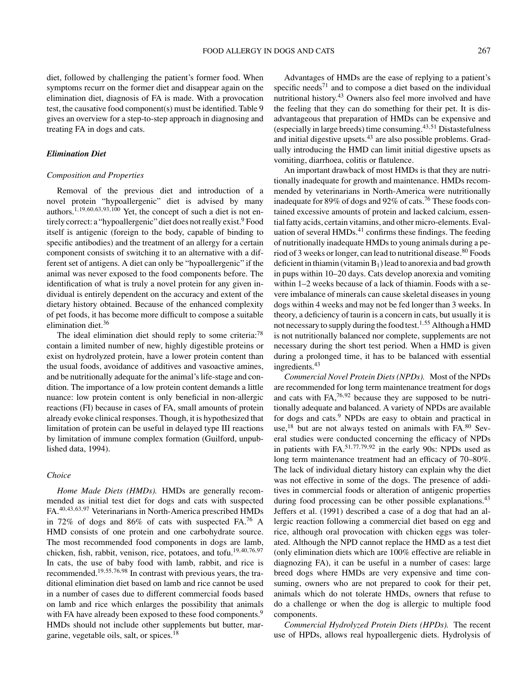diet, followed by challenging the patient's former food. When symptoms recurr on the former diet and disappear again on the elimination diet, diagnosis of FA is made. With a provocation test, the causative food component(s) must be identified. Table 9 gives an overview for a step-to-step approach in diagnosing and treating FA in dogs and cats.

#### *Elimination Diet*

# *Composition and Properties*

Removal of the previous diet and introduction of a novel protein "hypoallergenic" diet is advised by many authors.1,19,60,63,93,<sup>100</sup> Yet, the concept of such a diet is not entirely correct: a "hypoallergenic" diet does not really exist.<sup>9</sup> Food itself is antigenic (foreign to the body, capable of binding to specific antibodies) and the treatment of an allergy for a certain component consists of switching it to an alternative with a different set of antigens. A diet can only be "hypoallergenic" if the animal was never exposed to the food components before. The identification of what is truly a novel protein for any given individual is entirely dependent on the accuracy and extent of the dietary history obtained. Because of the enhanced complexity of pet foods, it has become more difficult to compose a suitable elimination diet. $36$ 

The ideal elimination diet should reply to some criteria: $^{78}$ contain a limited number of new, highly digestible proteins or exist on hydrolyzed protein, have a lower protein content than the usual foods, avoidance of additives and vasoactive amines, and be nutritionally adequate for the animal's life-stage and condition. The importance of a low protein content demands a little nuance: low protein content is only beneficial in non-allergic reactions (FI) because in cases of FA, small amounts of protein already evoke clinical responses. Though, it is hypothesized that limitation of protein can be useful in delayed type III reactions by limitation of immune complex formation (Guilford, unpublished data, 1994).

# *Choice*

*Home Made Diets (HMDs).* HMDs are generally recommended as initial test diet for dogs and cats with suspected FA.<sup>40</sup>,43,63,<sup>97</sup> Veterinarians in North-America prescribed HMDs in 72% of dogs and 86% of cats with suspected FA.<sup>76</sup> A HMD consists of one protein and one carbohydrate source. The most recommended food components in dogs are lamb, chicken, fish, rabbit, venison, rice, potatoes, and tofu.<sup>19,40,76,97</sup> In cats, the use of baby food with lamb, rabbit, and rice is recommended.<sup>19</sup>,55,76,<sup>98</sup> In contrast with previous years, the traditional elimination diet based on lamb and rice cannot be used in a number of cases due to different commercial foods based on lamb and rice which enlarges the possibility that animals with FA have already been exposed to these food components.<sup>9</sup> HMDs should not include other supplements but butter, margarine, vegetable oils, salt, or spices.<sup>18</sup>

Advantages of HMDs are the ease of replying to a patient's specific needs<sup>71</sup> and to compose a diet based on the individual nutritional history.<sup>43</sup> Owners also feel more involved and have the feeling that they can do something for their pet. It is disadvantageous that preparation of HMDs can be expensive and (especially in large breeds) time consuming.43,<sup>51</sup> Distastefulness and initial digestive upsets.43 are also possible problems. Gradually introducing the HMD can limit initial digestive upsets as vomiting, diarrhoea, colitis or flatulence.

An important drawback of most HMDs is that they are nutritionally inadequate for growth and maintenance. HMDs recommended by veterinarians in North-America were nutritionally inadequate for 89% of dogs and 92% of cats.<sup>76</sup> These foods contained excessive amounts of protein and lacked calcium, essential fatty acids, certain vitamins, and other micro-elements. Evaluation of several HMDs.<sup>41</sup> confirms these findings. The feeding of nutritionally inadequate HMDs to young animals during a period of 3 weeks or longer, can lead to nutritional disease.<sup>80</sup> Foods deficient in thiamin (vitamin  $B_1$ ) lead to anorexia and bad growth in pups within 10–20 days. Cats develop anorexia and vomiting within 1–2 weeks because of a lack of thiamin. Foods with a severe imbalance of minerals can cause skeletal diseases in young dogs within 4 weeks and may not be fed longer than 3 weeks. In theory, a deficiency of taurin is a concern in cats, but usually it is not necessary to supply during the food test.<sup>1,55</sup> Although a HMD is not nutritionally balanced nor complete, supplements are not necessary during the short test period. When a HMD is given during a prolonged time, it has to be balanced with essential ingredients.43

*Commercial Novel Protein Diets (NPDs).* Most of the NPDs are recommended for long term maintenance treatment for dogs and cats with  $FA$ ,  $76.92$  because they are supposed to be nutritionally adequate and balanced. A variety of NPDs are available for dogs and cats.<sup>9</sup> NPDs are easy to obtain and practical in use,<sup>18</sup> but are not always tested on animals with FA.<sup>80</sup> Several studies were conducted concerning the efficacy of NPDs in patients with FA.51,77,79,<sup>92</sup> in the early 90s: NPDs used as long term maintenance treatment had an efficacy of 70–80%. The lack of individual dietary history can explain why the diet was not effective in some of the dogs. The presence of additives in commercial foods or alteration of antigenic properties during food processing can be other possible explanations.<sup>43</sup> Jeffers et al. (1991) described a case of a dog that had an allergic reaction following a commercial diet based on egg and rice, although oral provocation with chicken eggs was tolerated. Although the NPD cannot replace the HMD as a test diet (only elimination diets which are 100% effective are reliable in diagnozing FA), it can be useful in a number of cases: large breed dogs where HMDs are very expensive and time consuming, owners who are not prepared to cook for their pet, animals which do not tolerate HMDs, owners that refuse to do a challenge or when the dog is allergic to multiple food components.

*Commercial Hydrolyzed Protein Diets (HPDs).* The recent use of HPDs, allows real hypoallergenic diets. Hydrolysis of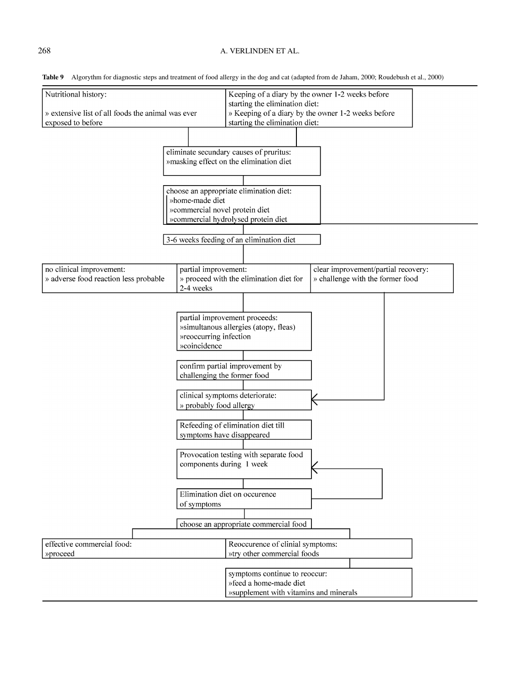# 268 A. VERLINDEN ET AL.

| Nutritional history:                                                   |                                                    | Keeping of a diary by the owner 1-2 weeks before<br>starting the elimination diet:                                 |
|------------------------------------------------------------------------|----------------------------------------------------|--------------------------------------------------------------------------------------------------------------------|
| » extensive list of all foods the animal was ever<br>exposed to before |                                                    | » Keeping of a diary by the owner 1-2 weeks before<br>starting the elimination diet:                               |
|                                                                        |                                                    |                                                                                                                    |
|                                                                        |                                                    | eliminate secundary causes of pruritus:<br>»masking effect on the elimination diet                                 |
|                                                                        | »home-made diet<br>» commercial novel protein diet | choose an appropriate elimination diet:<br>» commercial hydrolysed protein diet                                    |
|                                                                        |                                                    | 3-6 weeks feeding of an elimination diet                                                                           |
| no clinical improvement:<br>» adverse food reaction less probable      | partial improvement:<br>2-4 weeks                  | clear improvement/partial recovery:<br>» proceed with the elimination diet for<br>» challenge with the former food |
|                                                                        | »reoccurring infection<br>»coincidence             | partial improvement proceeds:<br>»simultanous allergies (atopy, fleas)                                             |
|                                                                        |                                                    | confirm partial improvement by<br>challenging the former food                                                      |
|                                                                        | » probably food allergy                            | clinical symptoms deteriorate:                                                                                     |
|                                                                        |                                                    | Refeeding of elimination diet till<br>symptoms have disappeared                                                    |
|                                                                        |                                                    | Provocation testing with separate food<br>components during 1 week                                                 |
|                                                                        | of symptoms                                        | Elimination diet on occurence                                                                                      |
|                                                                        |                                                    | choose an appropriate commercial food                                                                              |
| effective commercial food:<br>»proceed                                 |                                                    | Reoccurence of clinial symptoms:<br>»try other commercial foods                                                    |
|                                                                        |                                                    | symptoms continue to reoccur:<br>»feed a home-made diet<br>»supplement with vitamins and minerals                  |

# **Table 9** Algorythm for diagnostic steps and treatment of food allergy in the dog and cat (adapted from de Jaham, 2000; Roudebush et al., 2000)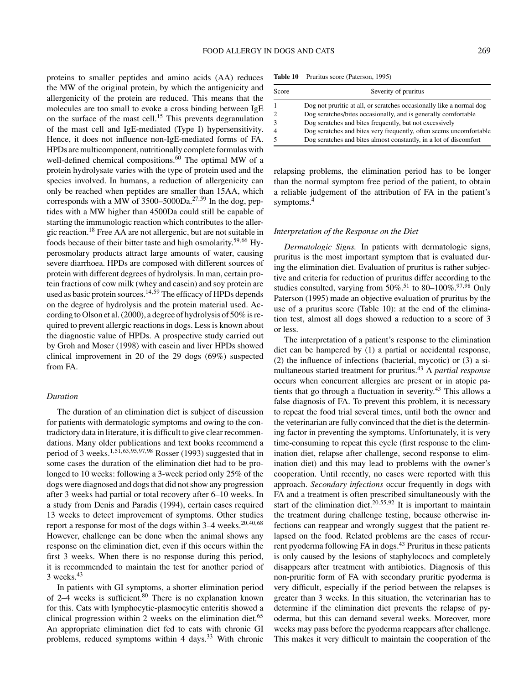proteins to smaller peptides and amino acids (AA) reduces the MW of the original protein, by which the antigenicity and allergenicity of the protein are reduced. This means that the molecules are too small to evoke a cross binding between IgE on the surface of the mast cell.<sup>15</sup> This prevents degranulation of the mast cell and IgE-mediated (Type I) hypersensitivity. Hence, it does not influence non-IgE-mediated forms of FA. HPDs are multicomponent, nutritionally complete formulas with well-defined chemical compositions.<sup>60</sup> The optimal MW of a protein hydrolysate varies with the type of protein used and the species involved. In humans, a reduction of allergenicity can only be reached when peptides are smaller than 15AA, which corresponds with a MW of  $3500-5000\text{Da}^{27,59}$  In the dog, peptides with a MW higher than 4500Da could still be capable of starting the immunologic reaction which contributes to the allergic reaction.18 Free AA are not allergenic, but are not suitable in foods because of their bitter taste and high osmolarity.59,<sup>66</sup> Hyperosmolary products attract large amounts of water, causing severe diarrhoea. HPDs are composed with different sources of protein with different degrees of hydrolysis. In man, certain protein fractions of cow milk (whey and casein) and soy protein are used as basic protein sources.<sup>14,59</sup> The efficacy of HPDs depends on the degree of hydrolysis and the protein material used. According to Olson et al. (2000), a degree of hydrolysis of 50% is required to prevent allergic reactions in dogs. Less is known about the diagnostic value of HPDs. A prospective study carried out by Groh and Moser (1998) with casein and liver HPDs showed clinical improvement in 20 of the 29 dogs (69%) suspected from FA.

#### *Duration*

The duration of an elimination diet is subject of discussion for patients with dermatologic symptoms and owing to the contradictory data in literature, it is difficult to give clear recommendations. Many older publications and text books recommend a period of 3 weeks.1,51,63,95,97,<sup>98</sup> Rosser (1993) suggested that in some cases the duration of the elimination diet had to be prolonged to 10 weeks: following a 3-week period only 25% of the dogs were diagnosed and dogs that did not show any progression after 3 weeks had partial or total recovery after 6–10 weeks. In a study from Denis and Paradis (1994), certain cases required 13 weeks to detect improvement of symptoms. Other studies report a response for most of the dogs within 3-4 weeks.<sup>20,40,68</sup> However, challenge can be done when the animal shows any response on the elimination diet, even if this occurs within the first 3 weeks. When there is no response during this period, it is recommended to maintain the test for another period of  $3$  weeks.<sup>43</sup>

In patients with GI symptoms, a shorter elimination period of 2–4 weeks is sufficient.<sup>80</sup> There is no explanation known for this. Cats with lymphocytic-plasmocytic enteritis showed a clinical progression within 2 weeks on the elimination diet.<sup>65</sup> An appropriate elimination diet fed to cats with chronic GI problems, reduced symptoms within 4 days.  $33$  With chronic

| Table 10 |  |  | Pruritus score (Paterson, 1995) |  |
|----------|--|--|---------------------------------|--|
|----------|--|--|---------------------------------|--|

| Score | Severity of pruritus                                                 |
|-------|----------------------------------------------------------------------|
| 1     | Dog not pruritic at all, or scratches occasionally like a normal dog |
| 2     | Dog scratches/bites occasionally, and is generally comfortable       |
| 3     | Dog scratches and bites frequently, but not excessively              |
| 4     | Dog scratches and bites very frequently, often seems uncomfortable   |
| 5     | Dog scratches and bites almost constantly, in a lot of discomfort    |

relapsing problems, the elimination period has to be longer than the normal symptom free period of the patient, to obtain a reliable judgement of the attribution of FA in the patient's symptoms.<sup>4</sup>

#### *Interpretation of the Response on the Diet*

*Dermatologic Signs.* In patients with dermatologic signs, pruritus is the most important symptom that is evaluated during the elimination diet. Evaluation of pruritus is rather subjective and criteria for reduction of pruritus differ according to the studies consulted, varying from  $50\%$ .<sup>51</sup> to 80–100%.<sup>97,98</sup> Only Paterson (1995) made an objective evaluation of pruritus by the use of a pruritus score (Table 10): at the end of the elimination test, almost all dogs showed a reduction to a score of 3 or less.

The interpretation of a patient's response to the elimination diet can be hampered by (1) a partial or accidental response, (2) the influence of infections (bacterial, mycotic) or (3) a simultaneous started treatment for pruritus.<sup>43</sup> A *partial response* occurs when concurrent allergies are present or in atopic patients that go through a fluctuation in severity.<sup>43</sup> This allows a false diagnosis of FA. To prevent this problem, it is necessary to repeat the food trial several times, until both the owner and the veterinarian are fully convinced that the diet is the determining factor in preventing the symptoms. Unfortunately, it is very time-consuming to repeat this cycle (first response to the elimination diet, relapse after challenge, second response to elimination diet) and this may lead to problems with the owner's cooperation. Until recently, no cases were reported with this approach. *Secondary infections* occur frequently in dogs with FA and a treatment is often prescribed simultaneously with the start of the elimination diet.<sup>20,55,92</sup> It is important to maintain the treatment during challenge testing, because otherwise infections can reappear and wrongly suggest that the patient relapsed on the food. Related problems are the cases of recurrent pyoderma following FA in dogs.43 Pruritus in these patients is only caused by the lesions of staphylococs and completely disappears after treatment with antibiotics. Diagnosis of this non-pruritic form of FA with secondary pruritic pyoderma is very difficult, especially if the period between the relapses is greater than 3 weeks. In this situation, the veterinarian has to determine if the elimination diet prevents the relapse of pyoderma, but this can demand several weeks. Moreover, more weeks may pass before the pyoderma reappears after challenge. This makes it very difficult to maintain the cooperation of the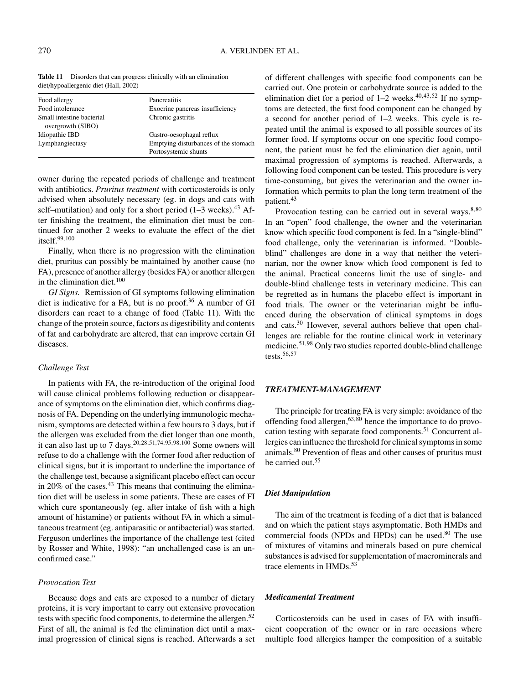| Food allergy              | Pancreatitis                         |
|---------------------------|--------------------------------------|
| Food intolerance          | Exocrine pancreas insufficiency      |
| Small intestine bacterial | Chronic gastritis                    |
| overgrowth (SIBO)         |                                      |
| Idiopathic IBD            | Gastro-oesophagal reflux             |
| Lymphangiectasy           | Emptying disturbances of the stomach |
|                           | Portosystemic shunts                 |

**Table 11** Disorders that can progress clinically with an elimination diet/hypoallergenic diet (Hall, 2002)

owner during the repeated periods of challenge and treatment with antibiotics. *Pruritus treatment* with corticosteroids is only advised when absolutely necessary (eg. in dogs and cats with self–mutilation) and only for a short period  $(1-3$  weeks).<sup>43</sup> After finishing the treatment, the elimination diet must be continued for another 2 weeks to evaluate the effect of the diet itself.99,<sup>100</sup>

Finally, when there is no progression with the elimination diet, pruritus can possibly be maintained by another cause (no FA), presence of another allergy (besides FA) or another allergen in the elimination diet.<sup>100</sup>

*GI Signs.* Remission of GI symptoms following elimination diet is indicative for a FA, but is no proof.<sup>36</sup> A number of GI disorders can react to a change of food (Table 11). With the change of the protein source, factors as digestibility and contents of fat and carbohydrate are altered, that can improve certain GI diseases.

#### *Challenge Test*

In patients with FA, the re-introduction of the original food will cause clinical problems following reduction or disappearance of symptoms on the elimination diet, which confirms diagnosis of FA. Depending on the underlying immunologic mechanism, symptoms are detected within a few hours to 3 days, but if the allergen was excluded from the diet longer than one month, it can also last up to 7 days.<sup>20,28,51,74,95,98,100</sup> Some owners will refuse to do a challenge with the former food after reduction of clinical signs, but it is important to underline the importance of the challenge test, because a significant placebo effect can occur in 20% of the cases. $43$  This means that continuing the elimination diet will be useless in some patients. These are cases of FI which cure spontaneously (eg. after intake of fish with a high amount of histamine) or patients without FA in which a simultaneous treatment (eg. antiparasitic or antibacterial) was started. Ferguson underlines the importance of the challenge test (cited by Rosser and White, 1998): "an unchallenged case is an unconfirmed case."

# *Provocation Test*

Because dogs and cats are exposed to a number of dietary proteins, it is very important to carry out extensive provocation tests with specific food components, to determine the allergen.<sup>52</sup> First of all, the animal is fed the elimination diet until a maximal progression of clinical signs is reached. Afterwards a set of different challenges with specific food components can be carried out. One protein or carbohydrate source is added to the elimination diet for a period of  $1-2$  weeks.<sup>40,43,52</sup> If no symptoms are detected, the first food component can be changed by a second for another period of 1–2 weeks. This cycle is repeated until the animal is exposed to all possible sources of its former food. If symptoms occur on one specific food component, the patient must be fed the elimination diet again, until maximal progression of symptoms is reached. Afterwards, a following food component can be tested. This procedure is very time-consuming, but gives the veterinarian and the owner information which permits to plan the long term treatment of the patient.43

Provocation testing can be carried out in several ways. $8,80$ In an "open" food challenge, the owner and the veterinarian know which specific food component is fed. In a "single-blind" food challenge, only the veterinarian is informed. "Doubleblind" challenges are done in a way that neither the veterinarian, nor the owner know which food component is fed to the animal. Practical concerns limit the use of single- and double-blind challenge tests in veterinary medicine. This can be regretted as in humans the placebo effect is important in food trials. The owner or the veterinarian might be influenced during the observation of clinical symptoms in dogs and cats.<sup>30</sup> However, several authors believe that open challenges are reliable for the routine clinical work in veterinary medicine.<sup>51</sup>,<sup>98</sup> Only two studies reported double-blind challenge tests.56,<sup>57</sup>

# *TREATMENT-MANAGEMENT*

The principle for treating FA is very simple: avoidance of the offending food allergen, $63,\overline{80}$  hence the importance to do provocation testing with separate food components.<sup>51</sup> Concurrent allergies can influence the threshold for clinical symptoms in some animals.80 Prevention of fleas and other causes of pruritus must be carried out.<sup>55</sup>

# *Diet Manipulation*

The aim of the treatment is feeding of a diet that is balanced and on which the patient stays asymptomatic. Both HMDs and commercial foods (NPDs and HPDs) can be used.<sup>80</sup> The use of mixtures of vitamins and minerals based on pure chemical substances is advised for supplementation of macrominerals and trace elements in HMDs.<sup>53</sup>

#### *Medicamental Treatment*

Corticosteroids can be used in cases of FA with insufficient cooperation of the owner or in rare occasions where multiple food allergies hamper the composition of a suitable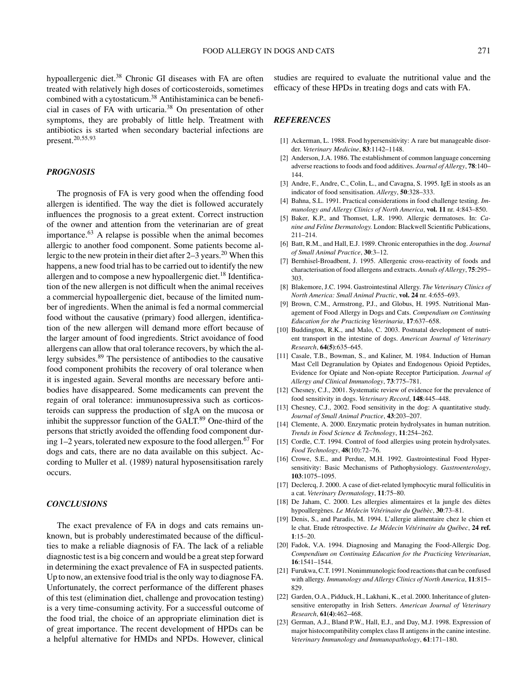hypoallergenic diet.<sup>38</sup> Chronic GI diseases with FA are often treated with relatively high doses of corticosteroids, sometimes combined with a cytostaticum.<sup>38</sup> Antihistaminica can be beneficial in cases of FA with urticaria.<sup>38</sup> On presentation of other symptoms, they are probably of little help. Treatment with antibiotics is started when secondary bacterial infections are present.20,55,<sup>93</sup>

# *PROGNOSIS*

The prognosis of FA is very good when the offending food allergen is identified. The way the diet is followed accurately influences the prognosis to a great extent. Correct instruction of the owner and attention from the veterinarian are of great importance.<sup>63</sup> A relapse is possible when the animal becomes allergic to another food component. Some patients become allergic to the new protein in their diet after  $2-3$  years.<sup>20</sup> When this happens, a new food trial has to be carried out to identify the new allergen and to compose a new hypoallergenic diet.<sup>18</sup> Identification of the new allergen is not difficult when the animal receives a commercial hypoallergenic diet, because of the limited number of ingredients. When the animal is fed a normal commercial food without the causative (primary) food allergen, identification of the new allergen will demand more effort because of the larger amount of food ingredients. Strict avoidance of food allergens can allow that oral tolerance recovers, by which the allergy subsides.89 The persistence of antibodies to the causative food component prohibits the recovery of oral tolerance when it is ingested again. Several months are necessary before antibodies have disappeared. Some medicaments can prevent the regain of oral tolerance: immunosupressiva such as corticosteroids can suppress the production of sIgA on the mucosa or inhibit the suppressor function of the GALT.<sup>89</sup> One-third of the persons that strictly avoided the offending food component during  $1-2$  years, tolerated new exposure to the food allergen.<sup>67</sup> For dogs and cats, there are no data available on this subject. According to Muller et al. (1989) natural hyposensitisation rarely occurs.

# *CONCLUSIONS*

The exact prevalence of FA in dogs and cats remains unknown, but is probably underestimated because of the difficulties to make a reliable diagnosis of FA. The lack of a reliable diagnostic test is a big concern and would be a great step forward in determining the exact prevalence of FA in suspected patients. Up to now, an extensive food trial is the only way to diagnose FA. Unfortunately, the correct performance of the different phases of this test (elimination diet, challenge and provocation testing) is a very time-consuming activity. For a successful outcome of the food trial, the choice of an appropriate elimination diet is of great importance. The recent development of HPDs can be a helpful alternative for HMDs and NPDs. However, clinical studies are required to evaluate the nutritional value and the efficacy of these HPDs in treating dogs and cats with FA.

#### *REFERENCES*

- [1] Ackerman, L. 1988. Food hypersensitivity: A rare but manageable disorder. *Veterinary Medicine*, **83**:1142–1148.
- [2] Anderson, J.A. 1986. The establishment of common language concerning adverse reactions to foods and food additives. *Journal of Allergy*, **78**:140– 144.
- [3] Andre, F., Andre, C., Colin, L., and Cavagna, S. 1995. IgE in stools as an indicator of food sensitisation. *Allergy*, **50**:328–333.
- [4] Bahna, S.L. 1991. Practical considerations in food challenge testing. *Immunology and Allergy Clinics of North America*, **vol. 11** nr. 4:843–850.
- [5] Baker, K.P., and Thomset, L.R. 1990. Allergic dermatoses. In: *Canine and Feline Dermatology.* London: Blackwell Scientific Publications, 211–214.
- [6] Batt, R.M., and Hall, E.J. 1989. Chronic enteropathies in the dog. *Journal of Small Animal Practice*, **30**:3–12.
- [7] Bernhisel-Broadbent, J. 1995. Allergenic cross-reactivity of foods and characterisation of food allergens and extracts. *Annals of Allergy*, **75**:295– 303.
- [8] Blakemore, J.C. 1994. Gastrointestinal Allergy. *The Veterinary Clinics of North America: Small Animal Practic*, **vol. 24** nr. 4:655–693.
- [9] Brown, C.M., Armstrong, P.J., and Globus, H. 1995. Nutritional Management of Food Allergy in Dogs and Cats. *Compendium on Continuing Education for the Practicing Veterinaria*, **17**:637–658.
- [10] Buddington, R.K., and Malo, C. 2003. Postnatal development of nutrient transport in the intestine of dogs. *American Journal of Veterinary Research*, **64(5)**:635–645.
- [11] Casale, T.B., Bowman, S., and Kaliner, M. 1984. Induction of Human Mast Cell Degranulation by Opiates and Endogenous Opioid Peptides, Evidence for Opiate and Non-opiate Receptor Participation. *Journal of Allergy and Clinical Immunology*, **73**:775–781.
- [12] Chesney, C.J., 2001. Systematic review of evidence for the prevalence of food sensitivity in dogs. *Veterinary Record*, **148**:445–448.
- [13] Chesney, C.J., 2002. Food sensitivity in the dog: A quantitative study. *Journal of Small Animal Practice*, **43**:203–207.
- [14] Clemente, A. 2000. Enzymatic protein hydrolysates in human nutrition. *Trends in Food Science & Technology*, **11**:254–262.
- [15] Cordle, C.T. 1994. Control of food allergies using protein hydrolysates. *Food Technology*, **48**(10):72–76.
- [16] Crowe, S.E., and Perdue, M.H. 1992. Gastrointestinal Food Hypersensitivity: Basic Mechanisms of Pathophysiology. *Gastroenterology*, **103**:1075–1095.
- [17] Declercq, J. 2000. A case of diet-related lymphocytic mural folliculitis in a cat. *Veterinary Dermatology*, **11**:75–80.
- [18] De Jaham, C. 2000. Les allergies alimentaires et la jungle des diètes hypoallergènes. *Le Médecin Vétérinaire du Québèc*, 30:73–81.
- [19] Denis, S., and Paradis, M. 1994. L'allergie alimentaire chez le chien et le chat. Etude rétrospective. *Le Médecin Vétérinaire du Québec*, 24 ref. **1**:15–20.
- [20] Fadok, V.A. 1994. Diagnosing and Managing the Food-Allergic Dog. *Compendium on Continuing Education for the Practicing Veterinarian*, **16**:1541–1544.
- [21] Furukwa, C.T. 1991. Nonimmunologic food reactions that can be confused with allergy. *Immunology and Allergy Clinics of North America*, **11**:815– 829.
- [22] Garden, O.A., Pidduck, H., Lakhani, K., et al. 2000. Inheritance of glutensensitive enteropathy in Irish Setters. *American Journal of Veterinary Research*, **61(4)**:462–468.
- [23] German, A.J., Bland P.W., Hall, E.J., and Day, M.J. 1998. Expression of major histocompatibility complex class II antigens in the canine intestine. *Veterinary Immunology and Immunopathology*, **61**:171–180.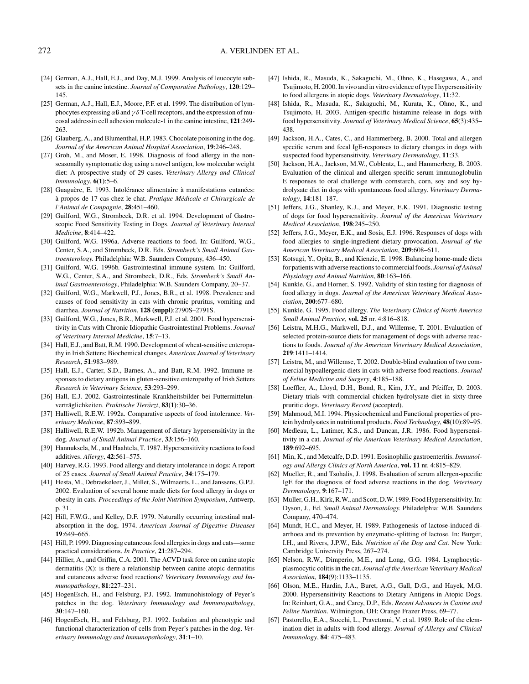- [24] German, A.J., Hall, E.J., and Day, M.J. 1999. Analysis of leucocyte subsets in the canine intestine. *Journal of Comparative Pathology*, **120**:129– 145.
- [25] German, A.J., Hall, E.J., Moore, P.F. et al. 1999. The distribution of lymphocytes expressing  $\alpha$  B and  $\gamma$  δ T-cell receptors, and the expression of mucosal addressin cell adhesion molecule-1 in the canine intestine, **121**:249- 263.
- [26] Glauberg, A., and Blumenthal, H.P. 1983. Chocolate poisoning in the dog. *Journal of the American Animal Hospital Association*, **19**:246–248.
- [27] Groh, M., and Moser, E. 1998. Diagnosis of food allergy in the nonseasonally symptomatic dog using a novel antigen, low molecular weight diet: A prospective study of 29 cases. *Veterinary Allergy and Clinical Immunology*, **6(1)**:5–6.
- [28] Guaguère, E. 1993. Intolérance alimentaire à manifestations cutanées: a` propos de 17 cas chez le chat. *Pratique Medicale et Chirurgicale de ´ l'Animal de Compagnie*, **28**:451–460.
- [29] Guilford, W.G., Strombeck, D.R. et al. 1994. Development of Gastroscopic Food Sensitivity Testing in Dogs. *Journal of Veterinary Internal Medicine*, **8**:414–422.
- [30] Guilford, W.G. 1996a. Adverse reactions to food. In: Guilford, W.G., Center, S.A., and Strombeck, D.R. Eds. *Strombeck's Small Animal Gastroenterology.* Philadelphia: W.B. Saunders Company, 436–450.
- [31] Guilford, W.G. 1996b. Gastrointestinal immune system. In: Guilford, W.G., Center, S.A., and Strombeck, D.R., Eds. *Strombeck's Small Animal Gastroenterology*, Philadelphia: W.B. Saunders Company, 20–37.
- [32] Guilford, W.G., Markwell, P.J., Jones, B.R., et al. 1998. Prevalence and causes of food sensitivity in cats with chronic pruritus, vomiting and diarrhea. *Journal of Nutrition*, **128 (suppl)**:2790S–2791S.
- [33] Guilford, W.G., Jones, B.R., Markwell, P.J. et al. 2001. Food hypersensitivity in Cats with Chronic Idiopathic Gastrointestinal Problems. *Journal of Veterinary Internal Medicine*, **15**:7–13.
- [34] Hall, E.J., and Batt, R.M. 1990. Development of wheat-sensitive enteropathy in Irish Setters: Biochemical changes. *American Journal of Veterinary Research*, **51**:983–989.
- [35] Hall, E.J., Carter, S.D., Barnes, A., and Batt, R.M. 1992. Immune responses to dietary antigens in gluten-sensitive enteropathy of Irish Setters *Research in Veterinary Science*, **53**:293–299.
- [36] Hall, E.J. 2002. Gastrointestinale Krankheitsbilder bei Futtermittelunverträglichkeiten. Praktische Tierärzt, 83(1):30-36.
- [37] Halliwell, R.E.W. 1992a. Comparative aspects of food intolerance. *Veterinary Medicine*, **87**:893–899.
- [38] Halliwell, R.E.W. 1992b. Management of dietary hypersensitivity in the dog. *Journal of Small Animal Practice*, **33**:156–160.
- [39] Hannuksela, M., and Haahtela, T. 1987. Hypersensitivity reactions to food additives. *Allergy*, **42**:561–575.
- [40] Harvey, R.G. 1993. Food allergy and dietary intolerance in dogs: A report of 25 cases. *Journal of Small Animal Practice*, **34**:175–179.
- [41] Hesta, M., Debraekeleer, J., Millet, S., Wilmaerts, L., and Janssens, G.P.J. 2002. Evaluation of several home made diets for food allergy in dogs or obesity in cats. *Proceedings of the Joint Nutrition Symposium*, Antwerp, p. 31.
- [42] Hill, F.W.G., and Kelley, D.F. 1979. Naturally occurring intestinal malabsorption in the dog, 1974. *American Journal of Digestive Diseases* **19**:649–665.
- [43] Hill, P. 1999. Diagnosing cutaneous food allergies in dogs and cats—some practical considerations. *In Practice*, **21**:287–294.
- [44] Hillier, A., and Griffin, C.A. 2001. The ACVD task force on canine atopic dermatitis  $(X)$ : is there a relationship between canine atopic dermatitis and cutaneous adverse food reactions? *Veterinary Immunology and Immunopathology*, **81**:227–231.
- [45] HogenEsch, H., and Felsburg, P.J. 1992. Immunohistology of Peyer's patches in the dog. *Veterinary Immunology and Immunopathology*, **30**:147–160.
- [46] HogenEsch, H., and Felsburg, P.J. 1992. Isolation and phenotypic and functional characterization of cells from Peyer's patches in the dog. *Veterinary Immunology and Immunopathology*, **31**:1–10.
- [47] Ishida, R., Masuda, K., Sakaguchi, M., Ohno, K., Hasegawa, A., and Tsujimoto, H. 2000. In vivo and in vitro evidence of type I hypersensitivity to food allergens in atopic dogs. *Veterinary Dermatology*, **11**:32.
- [48] Ishida, R., Masuda, K., Sakaguchi, M., Kurata, K., Ohno, K., and Tsujimoto, H. 2003. Antigen-specific histamine release in dogs with food hypersensitivity. *Journal of Veterinary Medical Science*, **65**(3):435– 438.
- [49] Jackson, H.A., Cates, C., and Hammerberg, B. 2000. Total and allergen specific serum and fecal IgE-responses to dietary changes in dogs with suspected food hypersensitivity. *Veterinary Dermatology*, **11**:33.
- [50] Jackson, H.A., Jackson, M.W., Coblentz, L., and Hammerberg, B. 2003. Evaluation of the clinical and allergen specific serum immunoglobulin E responses to oral challenge with cornstarch, corn, soy and soy hydrolysate diet in dogs with spontaneous food allergy. *Veterinary Dermatology*, **14**:181–187.
- [51] Jeffers, J.G., Shanley, K.J., and Meyer, E.K. 1991. Diagnostic testing of dogs for food hypersensitivity. *Journal of the American Veterinary Medical Association*, **198**:245–250.
- [52] Jeffers, J.G., Meyer, E.K., and Sosis, E.J. 1996. Responses of dogs with food allergies to single-ingredient dietary provocation. *Journal of the American Veterinary Medical Association*, **209**:608–611.
- [53] Kotsugi, Y., Opitz, B., and Kienzic, E. 1998. Balancing home-made diets for patients with adverse reactions to commercial foods. *Journal of Animal Physiology and Animal Nutrition*, **80**:163–166.
- [54] Kunkle, G., and Horner, S. 1992. Validity of skin testing for diagnosis of food allergy in dogs. *Journal of the American Veterinary Medical Association*, **200**:677–680.
- [55] Kunkle, G. 1995. Food allergy. *The Veterinary Clinics of North America Small Animal Practice*, **vol. 25** nr. 4:816–818.
- [56] Leistra, M.H.G., Markwell, D.J., and Willemse, T. 2001. Evaluation of selected protein-source diets for management of dogs with adverse reactions to foods. *Journal of the American Veterinary Medical Association*, **219**:1411–1414.
- [57] Leistra, M., and Willemse, T. 2002. Double-blind evaluation of two commercial hypoallergenic diets in cats with adverse food reactions. *Journal of Feline Medicine and Surgery*, **4**:185–188.
- [58] Loeffler, A., Lloyd, D.H., Bond, R., Kim, J.Y., and Pfeiffer, D. 2003. Dietary trials with commercial chicken hydrolysate diet in sixty-three pruritic dogs. *Veterinary Record* (accepted).
- [59] Mahmoud, M.I. 1994. Physicochemical and Functional properties of protein hydrolysates in nutritional products. *Food Technology*, **48**(10):89–95.
- [60] Medleau, L., Latimer, K.S., and Duncan, J.R. 1986. Food hypersensitivity in a cat. *Journal of the American Veterinary Medical Association*, **189**:692–695.
- [61] Min, K., and Metcalfe, D.D. 1991. Eosinophilic gastroenteritis. *Immunology and Allergy Clinics of North America*, **vol. 11** nr. 4:815–829.
- [62] Mueller, R., and Tsohalis, J. 1998. Evaluation of serum allergen-specific IgE for the diagnosis of food adverse reactions in the dog. *Veterinary Dermatology*, **9**:167–171.
- [63] Muller, G.H., Kirk, R.W., and Scott, D.W. 1989. Food Hypersensitivity. In: Dyson, J., Ed. *Small Animal Dermatology.* Philadelphia: W.B. Saunders Company, 470–474.
- [64] Mundt, H.C., and Meyer, H. 1989. Pathogenesis of lactose-induced diarrhoea and its prevention by enzymatic-splitting of lactose. In: Burger, I.H., and Rivers, J.P.W., Eds. *Nutrition of the Dog and Cat.* New York: Cambridge University Press, 267–274.
- [65] Nelson, R.W., Dimperio, M.E., and Long, G.G. 1984. Lymphocyticplasmocytic colitis in the cat. *Journal of the American Veterinary Medical Association*, **184**(9):1133–1135.
- [66] Olson, M.E., Hardin, J.A., Buret, A.G., Gall, D.G., and Hayek, M.G. 2000. Hypersensitivity Reactions to Dietary Antigens in Atopic Dogs. In: Reinhart, G.A., and Carey, D.P., Eds. *Recent Advances in Canine and Feline Nutrition*. Wilmington, OH: Orange Frazer Press, 69–77.
- [67] Pastorello, E.A., Stocchi, L., Pravetonni, V. et al. 1989. Role of the elemination diet in adults with food allergy. *Journal of Allergy and Clinical Immunology*, **84**: 475–483.